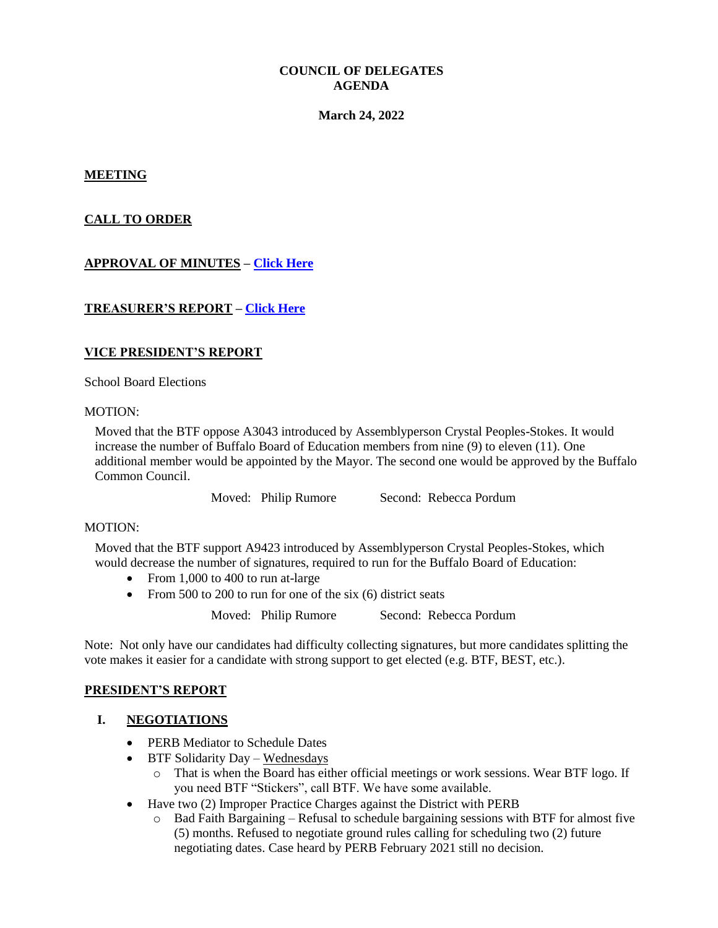## **COUNCIL OF DELEGATES AGENDA**

#### **March 24, 2022**

#### **MEETING**

## **CALL TO ORDER**

# **APPROVAL OF MINUTES – [Click Here](http://www.btfny.org/cod/agendas/2022/mar24/cod_feb17_min.pdf)**

### **TREASURER'S REPORT – [Click Here](http://www.btfny.org/cod/agendas/2022/mar24/fin_statement_13122.pdf)**

### **VICE PRESIDENT'S REPORT**

School Board Elections

#### MOTION:

Moved that the BTF oppose A3043 introduced by Assemblyperson Crystal Peoples-Stokes. It would increase the number of Buffalo Board of Education members from nine (9) to eleven (11). One additional member would be appointed by the Mayor. The second one would be approved by the Buffalo Common Council.

Moved: Philip Rumore Second: Rebecca Pordum

#### MOTION:

Moved that the BTF support A9423 introduced by Assemblyperson Crystal Peoples-Stokes, which would decrease the number of signatures, required to run for the Buffalo Board of Education:

- From 1,000 to 400 to run at-large
- From 500 to 200 to run for one of the six  $(6)$  district seats

Moved: Philip Rumore Second: Rebecca Pordum

Note: Not only have our candidates had difficulty collecting signatures, but more candidates splitting the vote makes it easier for a candidate with strong support to get elected (e.g. BTF, BEST, etc.).

#### **PRESIDENT'S REPORT**

### **I. NEGOTIATIONS**

- PERB Mediator to Schedule Dates
- $\bullet$  BTF Solidarity Day Wednesdays
	- o That is when the Board has either official meetings or work sessions. Wear BTF logo. If you need BTF "Stickers", call BTF. We have some available.
- Have two (2) Improper Practice Charges against the District with PERB
	- o Bad Faith Bargaining Refusal to schedule bargaining sessions with BTF for almost five (5) months. Refused to negotiate ground rules calling for scheduling two (2) future negotiating dates. Case heard by PERB February 2021 still no decision.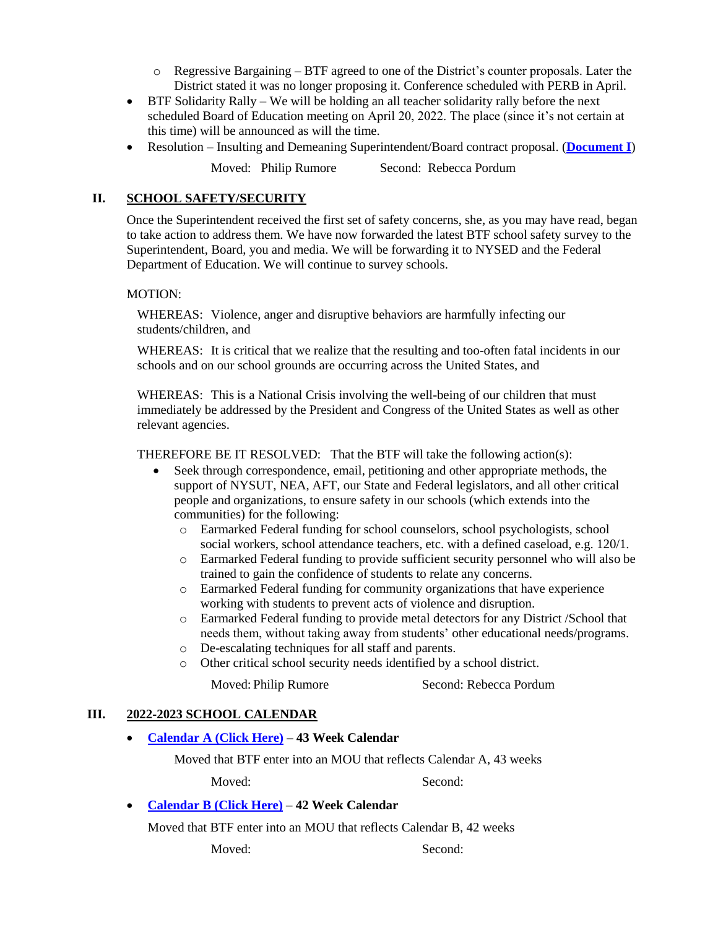- $\circ$  Regressive Bargaining BTF agreed to one of the District's counter proposals. Later the District stated it was no longer proposing it. Conference scheduled with PERB in April.
- BTF Solidarity Rally We will be holding an all teacher solidarity rally before the next scheduled Board of Education meeting on April 20, 2022. The place (since it's not certain at this time) will be announced as will the time.
- Resolution Insulting and Demeaning Superintendent/Board contract proposal. (**[Document I](http://www.btfny.org/cod/agendas/2022/mar24/32422_doc1.pdf)**)

Moved: Philip Rumore Second: Rebecca Pordum

# **II. SCHOOL SAFETY/SECURITY**

Once the Superintendent received the first set of safety concerns, she, as you may have read, began to take action to address them. We have now forwarded the latest BTF school safety survey to the Superintendent, Board, you and media. We will be forwarding it to NYSED and the Federal Department of Education. We will continue to survey schools.

### MOTION:

WHEREAS: Violence, anger and disruptive behaviors are harmfully infecting our students/children, and

WHEREAS: It is critical that we realize that the resulting and too-often fatal incidents in our schools and on our school grounds are occurring across the United States, and

WHEREAS: This is a National Crisis involving the well-being of our children that must immediately be addressed by the President and Congress of the United States as well as other relevant agencies.

THEREFORE BE IT RESOLVED: That the BTF will take the following action(s):

- Seek through correspondence, email, petitioning and other appropriate methods, the support of NYSUT, NEA, AFT, our State and Federal legislators, and all other critical people and organizations, to ensure safety in our schools (which extends into the communities) for the following:
	- o Earmarked Federal funding for school counselors, school psychologists, school social workers, school attendance teachers, etc. with a defined caseload, e.g. 120/1.
	- o Earmarked Federal funding to provide sufficient security personnel who will also be trained to gain the confidence of students to relate any concerns.
	- o Earmarked Federal funding for community organizations that have experience working with students to prevent acts of violence and disruption.
	- o Earmarked Federal funding to provide metal detectors for any District /School that needs them, without taking away from students' other educational needs/programs.
	- o De-escalating techniques for all staff and parents.
	- o Other critical school security needs identified by a school district.

Moved: Philip Rumore Second: Rebecca Pordum

# **III. 2022-2023 SCHOOL CALENDAR**

**Calendar A [\(Click Here\)](http://www.btfny.org/email/2022/draft_2223_cala.pdf) – 43 Week Calendar**

Moved that BTF enter into an MOU that reflects Calendar A, 43 weeks

Moved: Second:

# **Calendar B [\(Click Here\)](http://www.btfny.org/email/2022/draft_2223_calb.pdf)** – **42 Week Calendar**

Moved that BTF enter into an MOU that reflects Calendar B, 42 weeks

Moved: Second: Second: